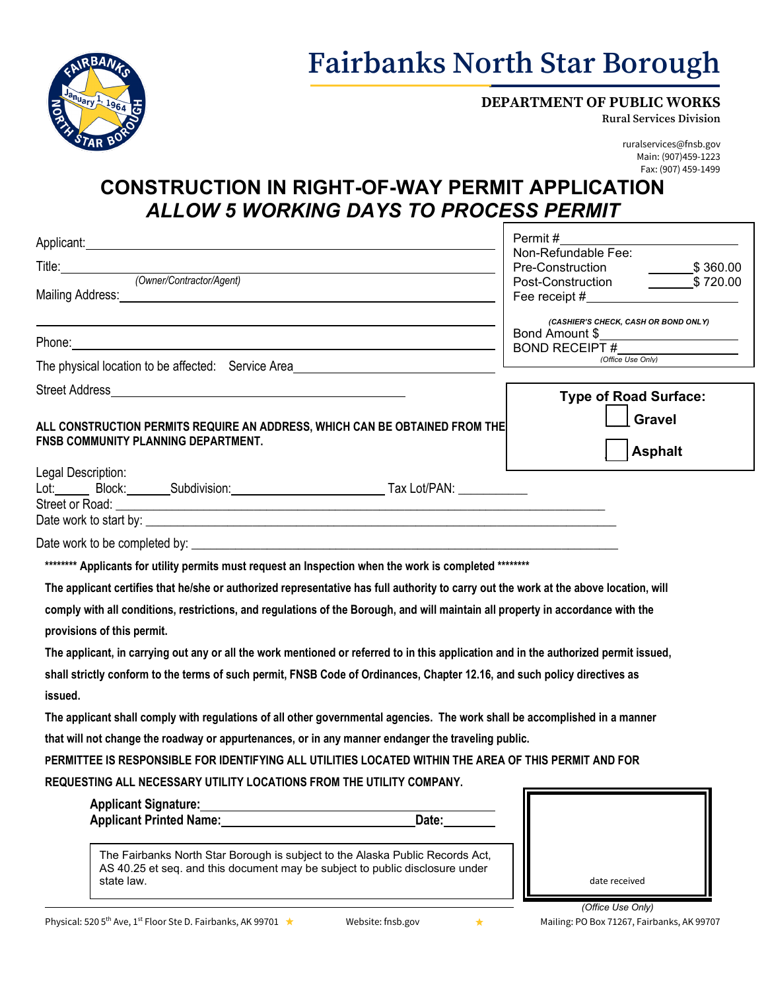

## **Fairbanks North Star Borough**

#### **DEPARTMENT OF PUBLIC WORKS**

**Rural Services Division**

ruralservices@fnsb.gov Main: (907)459-1223 Fax: (907) 459-1499

### **CONSTRUCTION IN RIGHT-OF-WAY PERMIT APPLICATION** *ALLOW 5 WORKING DAYS TO PROCESS PERMIT*

| Applicant: Applicant: Applicant: Applicant: Applicant: Applicant: Applicant: Applicant: Applicant: Applicant: Applicant: Applicant: Applicant: Applicant: Applicant: Applicant: Applicant: Applicant: Applicant: Applicant: Ap |                                                                                                                       | Permit #                                                                                                                                                                                                                      |
|--------------------------------------------------------------------------------------------------------------------------------------------------------------------------------------------------------------------------------|-----------------------------------------------------------------------------------------------------------------------|-------------------------------------------------------------------------------------------------------------------------------------------------------------------------------------------------------------------------------|
|                                                                                                                                                                                                                                |                                                                                                                       | Non-Refundable Fee:                                                                                                                                                                                                           |
| (Owner/Contractor/Agent)                                                                                                                                                                                                       |                                                                                                                       | $\frac{\ }{2}$ \$ 360.00<br>Pre-Construction                                                                                                                                                                                  |
|                                                                                                                                                                                                                                |                                                                                                                       | Post-Construction<br>\$720.00                                                                                                                                                                                                 |
| Mailing Address: Management of the Contract of the Contract of the Contract of the Contract of the Contract of                                                                                                                 |                                                                                                                       | Fee receipt # The Contract of The Contract of The Contract of The Contract of The Contract of The Contract of The Contract of The Contract of The Contract of The Contract of The Contract of The Contract of The Contract of |
|                                                                                                                                                                                                                                |                                                                                                                       | (CASHIER'S CHECK, CASH OR BOND ONLY)<br>Bond Amount \$                                                                                                                                                                        |
| Phone: 2008. 2009. 2009. 2010. 2010. 2010. 2010. 2010. 2010. 2010. 2010. 2010. 2010. 2010. 2010. 2010. 2010. 20                                                                                                                |                                                                                                                       | <b>BOND RECEIPT#</b>                                                                                                                                                                                                          |
| The physical location to be affected: Service Area                                                                                                                                                                             |                                                                                                                       | (Office Use Only)                                                                                                                                                                                                             |
| Street Address and the street of the street Address and the street of the street Address and the street of the                                                                                                                 |                                                                                                                       |                                                                                                                                                                                                                               |
|                                                                                                                                                                                                                                |                                                                                                                       | <b>Type of Road Surface:</b>                                                                                                                                                                                                  |
| ALL CONSTRUCTION PERMITS REQUIRE AN ADDRESS, WHICH CAN BE OBTAINED FROM THE                                                                                                                                                    |                                                                                                                       | <b>Gravel</b>                                                                                                                                                                                                                 |
| FNSB COMMUNITY PLANNING DEPARTMENT.                                                                                                                                                                                            |                                                                                                                       |                                                                                                                                                                                                                               |
|                                                                                                                                                                                                                                |                                                                                                                       | <b>Asphalt</b>                                                                                                                                                                                                                |
| Legal Description:                                                                                                                                                                                                             |                                                                                                                       |                                                                                                                                                                                                                               |
| Lot: Block: Subdivision: The Tax Lot/PAN: Contract Contract Contract Contract Contract Contract Contract Contr                                                                                                                 |                                                                                                                       |                                                                                                                                                                                                                               |
| Street or Road:                                                                                                                                                                                                                | <u> 1989 - Johann Harry Harry Harry Harry Harry Harry Harry Harry Harry Harry Harry Harry Harry Harry Harry Harry</u> |                                                                                                                                                                                                                               |
|                                                                                                                                                                                                                                |                                                                                                                       |                                                                                                                                                                                                                               |
|                                                                                                                                                                                                                                |                                                                                                                       |                                                                                                                                                                                                                               |
| ********* Applicants for utility permits must request an Inspection when the work is completed ********                                                                                                                        |                                                                                                                       |                                                                                                                                                                                                                               |
| The applicant certifies that he/she or authorized representative has full authority to carry out the work at the above location, will                                                                                          |                                                                                                                       |                                                                                                                                                                                                                               |
| comply with all conditions, restrictions, and regulations of the Borough, and will maintain all property in accordance with the                                                                                                |                                                                                                                       |                                                                                                                                                                                                                               |
| provisions of this permit.                                                                                                                                                                                                     |                                                                                                                       |                                                                                                                                                                                                                               |
| The applicant, in carrying out any or all the work mentioned or referred to in this application and in the authorized permit issued,                                                                                           |                                                                                                                       |                                                                                                                                                                                                                               |
| shall strictly conform to the terms of such permit, FNSB Code of Ordinances, Chapter 12.16, and such policy directives as                                                                                                      |                                                                                                                       |                                                                                                                                                                                                                               |
| issued.                                                                                                                                                                                                                        |                                                                                                                       |                                                                                                                                                                                                                               |
| The applicant shall comply with regulations of all other governmental agencies. The work shall be accomplished in a manner                                                                                                     |                                                                                                                       |                                                                                                                                                                                                                               |
| that will not change the roadway or appurtenances, or in any manner endanger the traveling public.                                                                                                                             |                                                                                                                       |                                                                                                                                                                                                                               |
| PERMITTEE IS RESPONSIBLE FOR IDENTIFYING ALL UTILITIES LOCATED WITHIN THE AREA OF THIS PERMIT AND FOR                                                                                                                          |                                                                                                                       |                                                                                                                                                                                                                               |
| REQUESTING ALL NECESSARY UTILITY LOCATIONS FROM THE UTILITY COMPANY.                                                                                                                                                           |                                                                                                                       |                                                                                                                                                                                                                               |
|                                                                                                                                                                                                                                |                                                                                                                       |                                                                                                                                                                                                                               |
| Applicant Printed Name:                                                                                                                                                                                                        | Date:                                                                                                                 |                                                                                                                                                                                                                               |
|                                                                                                                                                                                                                                |                                                                                                                       |                                                                                                                                                                                                                               |
| The Fairbanks North Star Borough is subject to the Alaska Public Records Act,                                                                                                                                                  |                                                                                                                       |                                                                                                                                                                                                                               |
| AS 40.25 et seq. and this document may be subject to public disclosure under                                                                                                                                                   |                                                                                                                       |                                                                                                                                                                                                                               |
| state law.                                                                                                                                                                                                                     |                                                                                                                       | date received                                                                                                                                                                                                                 |
|                                                                                                                                                                                                                                |                                                                                                                       |                                                                                                                                                                                                                               |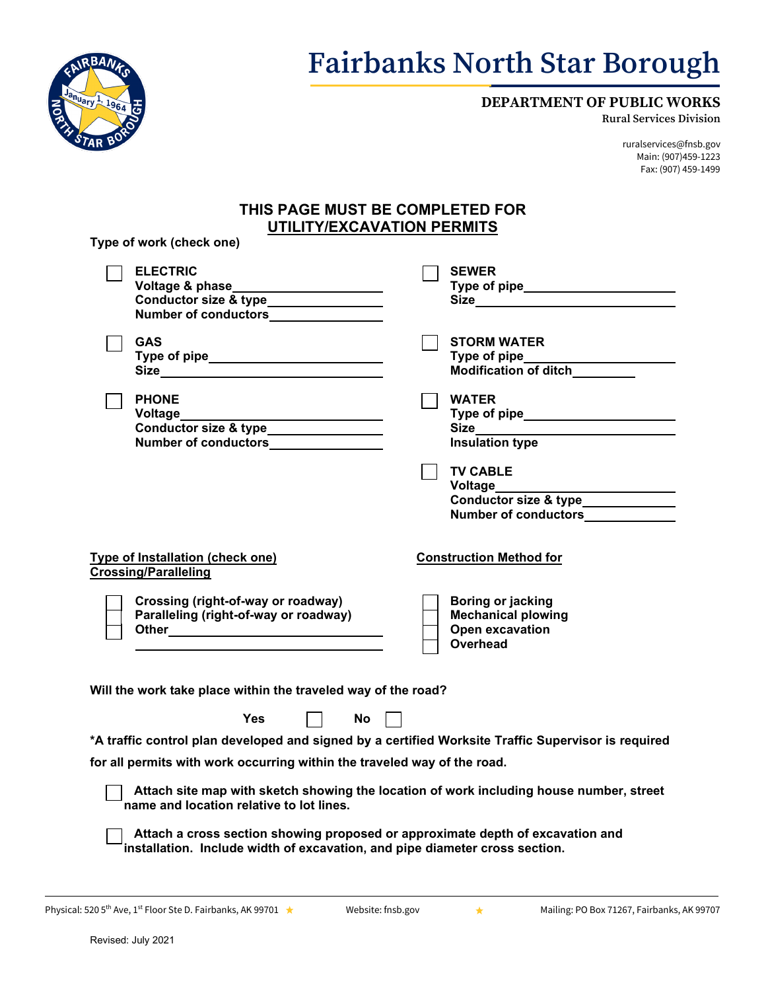

## **Fairbanks North Star Borough**

### **DEPARTMENT OF PUBLIC WORKS**

**Rural Services Division**

ruralservices@fnsb.gov Main: (907)459-1223 Fax: (907) 459-1499

### **THIS PAGE MUST BE COMPLETED FOR UTILITY/EXCAVATION PERMITS**

| . . |                                    |                                |
|-----|------------------------------------|--------------------------------|
|     | $\Box$ ELECTRIC<br>Voltage & phase | <b>SEWER</b><br><b>Type of</b> |

**Type of work (check one)**

| Voltage & phase______________________                           | Type of pipe ______________________                                    |
|-----------------------------------------------------------------|------------------------------------------------------------------------|
| Conductor size & type_______________                            |                                                                        |
| Number of conductors________________                            |                                                                        |
| <b>GAS</b>                                                      | <b>STORM WATER</b>                                                     |
|                                                                 | Type of pipe_____________________                                      |
|                                                                 | Modification of ditch________                                          |
| <b>PHONE</b>                                                    | <b>WATER</b>                                                           |
|                                                                 |                                                                        |
| Conductor size & type<br><u>Conductor size</u> & type           |                                                                        |
| Number of conductors________________                            | <b>Insulation type</b>                                                 |
|                                                                 | <b>TV CABLE</b>                                                        |
|                                                                 |                                                                        |
|                                                                 | Voltage__________________________                                      |
|                                                                 | Conductor size & type_____________<br>Number of conductors____________ |
|                                                                 |                                                                        |
| Type of Installation (check one)<br><b>Crossing/Paralleling</b> | <b>Construction Method for</b>                                         |
| Crossing (right-of-way or roadway)                              | Boring or jacking                                                      |
| Paralleling (right-of-way or roadway)                           | <b>Mechanical plowing</b>                                              |
|                                                                 | Open excavation                                                        |
|                                                                 | Overhead                                                               |
|                                                                 |                                                                        |
|                                                                 |                                                                        |
| Will the work take place within the traveled way of the road?   |                                                                        |
| <b>Yes</b><br><b>No</b>                                         |                                                                        |
|                                                                 |                                                                        |

**\*A traffic control plan developed and signed by a certified Worksite Traffic Supervisor is required**

**for all permits with work occurring within the traveled way of the road.**

 **Attach site map with sketch showing the location of work including house number, street name and location relative to lot lines.**

 **Attach a cross section showing proposed or approximate depth of excavation and installation. Include width of excavation, and pipe diameter cross section.**